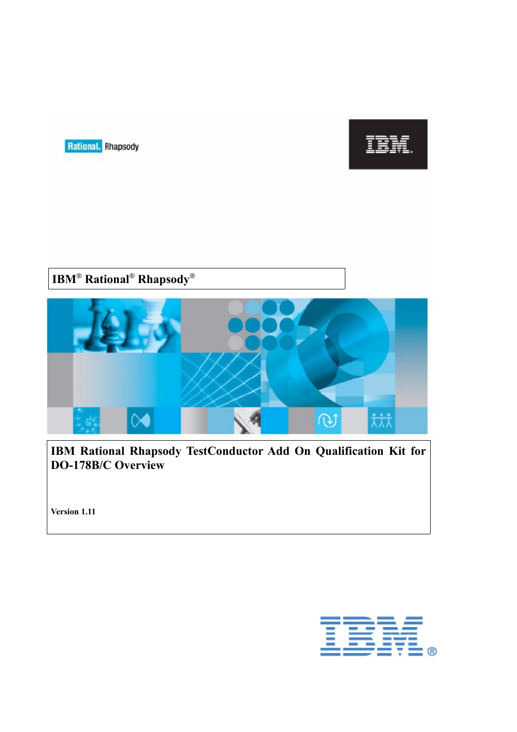



# **IBM® Rational® Rhapsody®**



**IBM Rational Rhapsody TestConductor Add On Qualification Kit for DO-178B/C Overview**

**Version 1.11**

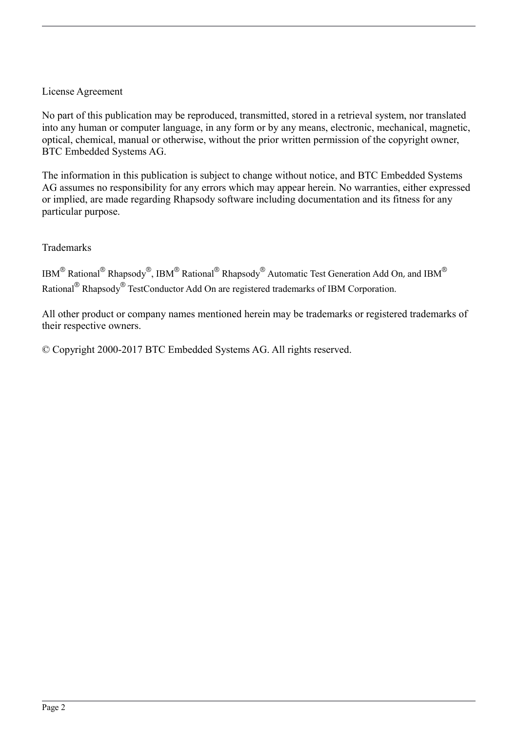### License Agreement

No part of this publication may be reproduced, transmitted, stored in a retrieval system, nor translated into any human or computer language, in any form or by any means, electronic, mechanical, magnetic, optical, chemical, manual or otherwise, without the prior written permission of the copyright owner, BTC Embedded Systems AG.

The information in this publication is subject to change without notice, and BTC Embedded Systems AG assumes no responsibility for any errors which may appear herein. No warranties, either expressed or implied, are made regarding Rhapsody software including documentation and its fitness for any particular purpose.

Trademarks

IBM<sup>®</sup> Rational<sup>®</sup> Rhapsody®, IBM<sup>®</sup> Rational<sup>®</sup> Rhapsody® Automatic Test Generation Add On, and IBM<sup>®</sup> Rational<sup>®</sup> Rhapsody<sup>®</sup> TestConductor Add On are registered trademarks of IBM Corporation.

All other product or company names mentioned herein may be trademarks or registered trademarks of their respective owners.

© Copyright 2000-2017 BTC Embedded Systems AG. All rights reserved.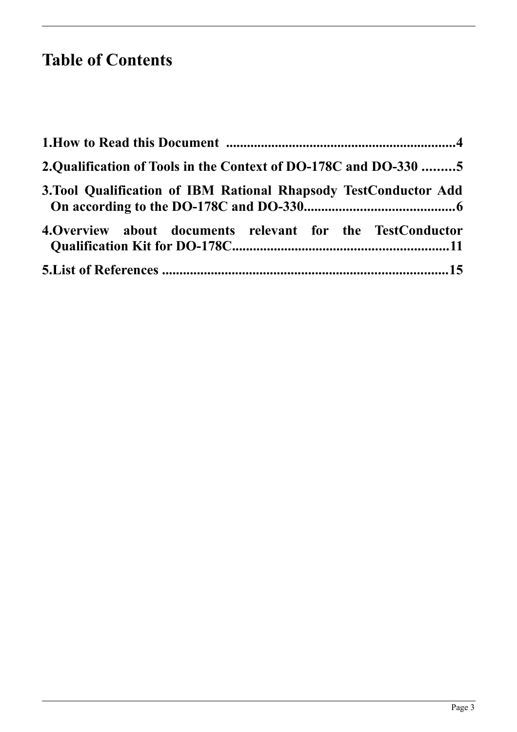# **Table of Contents**

| 2. Qualification of Tools in the Context of DO-178C and DO-330 5 |  |
|------------------------------------------------------------------|--|
| 3. Tool Qualification of IBM Rational Rhapsody TestConductor Add |  |
| 4. Overview about documents relevant for the TestConductor       |  |
|                                                                  |  |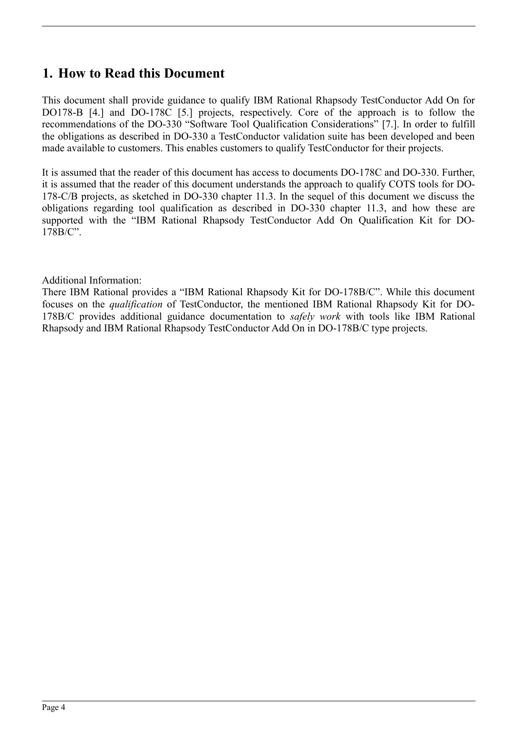# <span id="page-3-0"></span>**1. How to Read this Document**

This document shall provide guidance to qualify IBM Rational Rhapsody TestConductor Add On for DO178-B [\[4.\]](#page-14-1) and DO-178C [\[5.\]](#page-14-3) projects, respectively. Core of the approach is to follow the recommendations of the DO-330 "Software Tool Qualification Considerations" [\[7.\]](#page-14-2). In order to fulfill the obligations as described in DO-330 a TestConductor validation suite has been developed and been made available to customers. This enables customers to qualify TestConductor for their projects.

It is assumed that the reader of this document has access to documents DO-178C and DO-330. Further, it is assumed that the reader of this document understands the approach to qualify COTS tools for DO-178-C/B projects, as sketched in DO-330 chapter 11.3. In the sequel of this document we discuss the obligations regarding tool qualification as described in DO-330 chapter 11.3, and how these are supported with the "IBM Rational Rhapsody TestConductor Add On Qualification Kit for DO-178B/C".

### Additional Information:

There IBM Rational provides a "IBM Rational Rhapsody Kit for DO-178B/C". While this document focuses on the *qualification* of TestConductor, the mentioned IBM Rational Rhapsody Kit for DO-178B/C provides additional guidance documentation to *safely work* with tools like IBM Rational Rhapsody and IBM Rational Rhapsody TestConductor Add On in DO-178B/C type projects.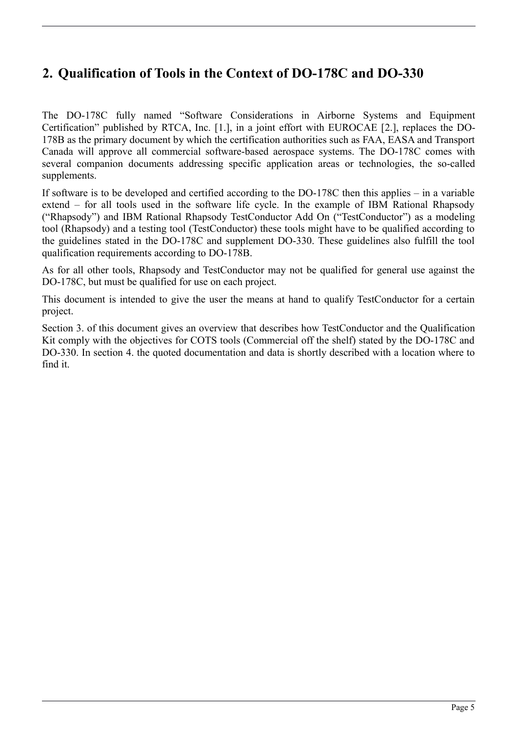# <span id="page-4-0"></span>**2. Qualification of Tools in the Context of DO-178C and DO-330**

The DO-178C fully named "Software Considerations in Airborne Systems and Equipment Certification" published by RTCA, Inc. [\[1.\]](#page-14-5), in a joint effort with EUROCAE [\[2.\]](#page-14-4), replaces the DO-178B as the primary document by which the certification authorities such as FAA, EASA and Transport Canada will approve all commercial software-based aerospace systems. The DO-178C comes with several companion documents addressing specific application areas or technologies, the so-called supplements.

If software is to be developed and certified according to the DO-178C then this applies – in a variable extend – for all tools used in the software life cycle. In the example of IBM Rational Rhapsody ("Rhapsody") and IBM Rational Rhapsody TestConductor Add On ("TestConductor") as a modeling tool (Rhapsody) and a testing tool (TestConductor) these tools might have to be qualified according to the guidelines stated in the DO-178C and supplement DO-330. These guidelines also fulfill the tool qualification requirements according to DO-178B.

As for all other tools, Rhapsody and TestConductor may not be qualified for general use against the DO-178C, but must be qualified for use on each project.

This document is intended to give the user the means at hand to qualify TestConductor for a certain project.

Section [3.](#page-5-0) of this document gives an overview that describes how TestConductor and the Qualification Kit comply with the objectives for COTS tools (Commercial off the shelf) stated by the DO-178C and DO-330. In section [4.](#page-10-0) the quoted documentation and data is shortly described with a location where to find it.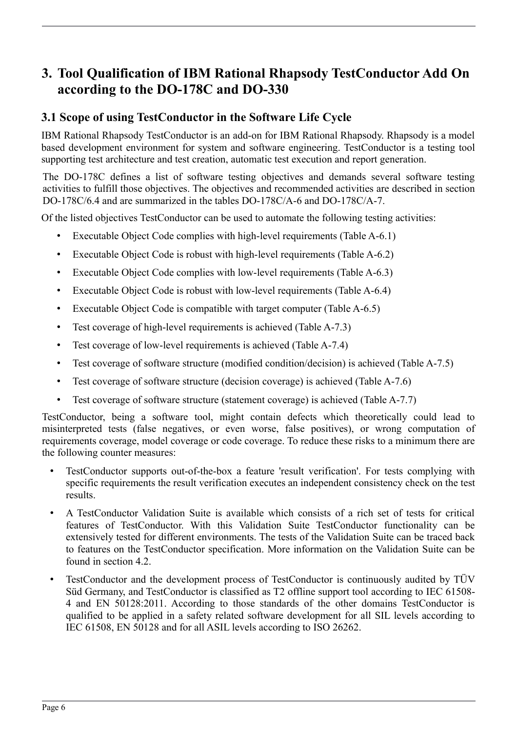# <span id="page-5-0"></span>**3. Tool Qualification of IBM Rational Rhapsody TestConductor Add On according to the DO-178C and DO-330**

## **3.1 Scope of using TestConductor in the Software Life Cycle**

IBM Rational Rhapsody TestConductor is an add-on for IBM Rational Rhapsody. Rhapsody is a model based development environment for system and software engineering. TestConductor is a testing tool supporting test architecture and test creation, automatic test execution and report generation.

The DO-178C defines a list of software testing objectives and demands several software testing activities to fulfill those objectives. The objectives and recommended activities are described in section DO-178C/6.4 and are summarized in the tables DO-178C/A-6 and DO-178C/A-7.

Of the listed objectives TestConductor can be used to automate the following testing activities:

- Executable Object Code complies with high-level requirements (Table A-6.1)
- Executable Object Code is robust with high-level requirements (Table A-6.2)
- Executable Object Code complies with low-level requirements (Table A-6.3)
- Executable Object Code is robust with low-level requirements (Table A-6.4)
- Executable Object Code is compatible with target computer (Table A-6.5)
- Test coverage of high-level requirements is achieved (Table A-7.3)
- Test coverage of low-level requirements is achieved (Table A-7.4)
- Test coverage of software structure (modified condition/decision) is achieved (Table A-7.5)
- Test coverage of software structure (decision coverage) is achieved (Table A-7.6)
- Test coverage of software structure (statement coverage) is achieved (Table A-7.7)

TestConductor, being a software tool, might contain defects which theoretically could lead to misinterpreted tests (false negatives, or even worse, false positives), or wrong computation of requirements coverage, model coverage or code coverage. To reduce these risks to a minimum there are the following counter measures:

- TestConductor supports out-of-the-box a feature 'result verification'. For tests complying with specific requirements the result verification executes an independent consistency check on the test results.
- A TestConductor Validation Suite is available which consists of a rich set of tests for critical features of TestConductor. With this Validation Suite TestConductor functionality can be extensively tested for different environments. The tests of the Validation Suite can be traced back to features on the TestConductor specification. More information on the Validation Suite can be found in section [4.2.](#page-10-1)
- TestConductor and the development process of TestConductor is continuously audited by TÜV Süd Germany, and TestConductor is classified as T2 offline support tool according to IEC 61508- 4 and EN 50128:2011. According to those standards of the other domains TestConductor is qualified to be applied in a safety related software development for all SIL levels according to IEC 61508, EN 50128 and for all ASIL levels according to ISO 26262.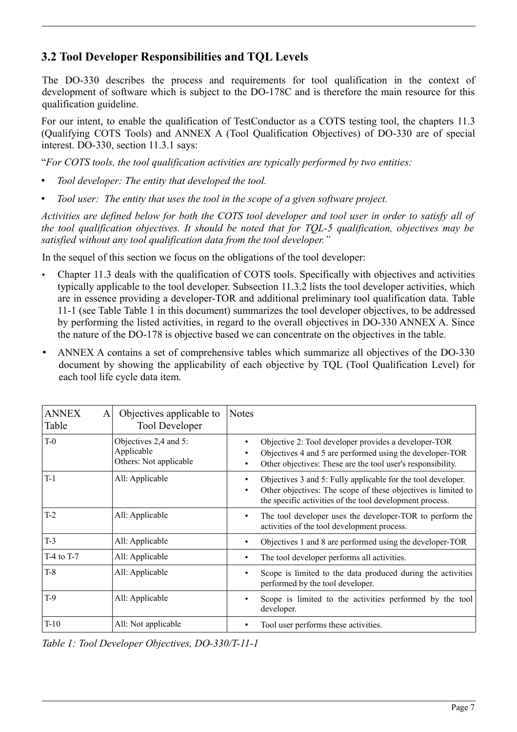# **3.2 Tool Developer Responsibilities and TQL Levels**

The DO-330 describes the process and requirements for tool qualification in the context of development of software which is subject to the DO-178C and is therefore the main resource for this qualification guideline.

For our intent, to enable the qualification of TestConductor as a COTS testing tool, the chapters 11.3 (Qualifying COTS Tools) and ANNEX A (Tool Qualification Objectives) of DO-330 are of special interest. DO-330, section 11.3.1 says:

"*For COTS tools, the tool qualification activities are typically performed by two entities:*

- *Tool developer: The entity that developed the tool.*
- *Tool user: The entity that uses the tool in the scope of a given software project.*

*Activities are defined below for both the COTS tool developer and tool user in order to satisfy all of the tool qualification objectives. It should be noted that for TQL-5 qualification, objectives may be satisfied without any tool qualification data from the tool developer."*

In the sequel of this section we focus on the obligations of the tool developer:

- Chapter 11.3 deals with the qualification of COTS tools. Specifically with objectives and activities typically applicable to the tool developer. Subsection 11.3.2 lists the tool developer activities, which are in essence providing a developer-TOR and additional preliminary tool qualification data. Table 11-1 (see Table [Table 1](#page-6-0) in this document) summarizes the tool developer objectives, to be addressed by performing the listed activities, in regard to the overall objectives in DO-330 ANNEX A. Since the nature of the DO-178 is objective based we can concentrate on the objectives in the table.
- ANNEX A contains a set of comprehensive tables which summarize all objectives of the DO-330 document by showing the applicability of each objective by TQL (Tool Qualification Level) for each tool life cycle data item.

| <b>ANNEX</b><br>A<br>Table | Objectives applicable to<br><b>Tool Developer</b>             | <b>Notes</b>                                                                                                                                                                                                |
|----------------------------|---------------------------------------------------------------|-------------------------------------------------------------------------------------------------------------------------------------------------------------------------------------------------------------|
| $T-0$                      | Objectives 2,4 and 5:<br>Applicable<br>Others: Not applicable | Objective 2: Tool developer provides a developer-TOR<br>٠<br>Objectives 4 and 5 are performed using the developer-TOR<br>Other objectives: These are the tool user's responsibility.                        |
| $T-1$                      | All: Applicable                                               | Objectives 3 and 5: Fully applicable for the tool developer.<br>٠<br>Other objectives: The scope of these objectives is limited to<br>$\bullet$<br>the specific activities of the tool development process. |
| $T-2$                      | All: Applicable                                               | The tool developer uses the developer-TOR to perform the<br>٠<br>activities of the tool development process.                                                                                                |
| $T-3$                      | All: Applicable                                               | Objectives 1 and 8 are performed using the developer-TOR<br>٠                                                                                                                                               |
| $T-4$ to $T-7$             | All: Applicable                                               | The tool developer performs all activities.<br>٠                                                                                                                                                            |
| $T-8$                      | All: Applicable                                               | Scope is limited to the data produced during the activities<br>٠<br>performed by the tool developer.                                                                                                        |
| T-9                        | All: Applicable                                               | Scope is limited to the activities performed by the tool<br>٠<br>developer.                                                                                                                                 |
| $T-10$                     | All: Not applicable                                           | Tool user performs these activities.                                                                                                                                                                        |

<span id="page-6-0"></span>*Table 1: Tool Developer Objectives, DO-330/T-11-1*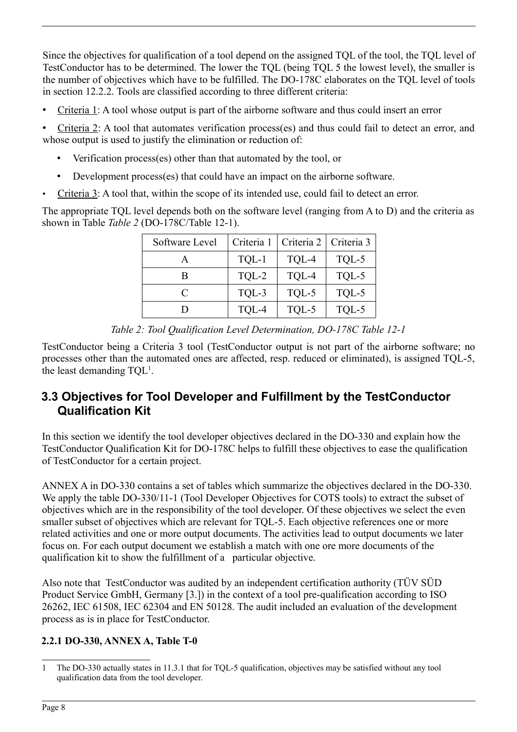Since the objectives for qualification of a tool depend on the assigned TQL of the tool, the TQL level of TestConductor has to be determined. The lower the TQL (being TQL 5 the lowest level), the smaller is the number of objectives which have to be fulfilled. The DO-178C elaborates on the TQL level of tools in section 12.2.2. Tools are classified according to three different criteria:

• Criteria 1: A tool whose output is part of the airborne software and thus could insert an error

• Criteria 2: A tool that automates verification process(es) and thus could fail to detect an error, and whose output is used to justify the elimination or reduction of:

- Verification process(es) other than that automated by the tool, or
- Development process(es) that could have an impact on the airborne software.
- Criteria 3: A tool that, within the scope of its intended use, could fail to detect an error.

The appropriate TQL level depends both on the software level (ranging from A to D) and the criteria as shown in Table *[Table 2](#page-7-0)* (DO-178C/Table 12-1).

| Software Level | Criteria 1 | Criteria 2 | Criteria 3 |
|----------------|------------|------------|------------|
|                | TQL-1      | TQL-4      | TQL-5      |
| R              | TQL-2      | TQL-4      | TQL-5      |
| $\subset$      | TQL-3      | TQL-5      | TQL-5      |
|                | TQL-4      | TQL-5      | TQL-5      |

<span id="page-7-0"></span>*Table 2: Tool Qualification Level Determination, DO-178C Table 12-1*

TestConductor being a Criteria 3 tool (TestConductor output is not part of the airborne software; no processes other than the automated ones are affected, resp. reduced or eliminated), is assigned TQL-5, the least demanding  $TQL^1$  $TQL^1$ .

# **3.3 Objectives for Tool Developer and Fulfillment by the TestConductor Qualification Kit**

In this section we identify the tool developer objectives declared in the DO-330 and explain how the TestConductor Qualification Kit for DO-178C helps to fulfill these objectives to ease the qualification of TestConductor for a certain project.

ANNEX A in DO-330 contains a set of tables which summarize the objectives declared in the DO-330. We apply the table DO-330/11-1 (Tool Developer Objectives for COTS tools) to extract the subset of objectives which are in the responsibility of the tool developer. Of these objectives we select the even smaller subset of objectives which are relevant for TQL-5. Each objective references one or more related activities and one or more output documents. The activities lead to output documents we later focus on. For each output document we establish a match with one ore more documents of the qualification kit to show the fulfillment of a particular objective.

Also note that TestConductor was audited by an independent certification authority (TÜV SÜD Product Service GmbH, Germany [\[3.\]](#page-14-6)) in the context of a tool pre-qualification according to ISO 26262, IEC 61508, IEC 62304 and EN 50128. The audit included an evaluation of the development process as is in place for TestConductor.

### **2.2.1 DO-330, ANNEX A, Table T-0**

<span id="page-7-1"></span><sup>1</sup> The DO-330 actually states in 11.3.1 that for TQL-5 qualification, objectives may be satisfied without any tool qualification data from the tool developer.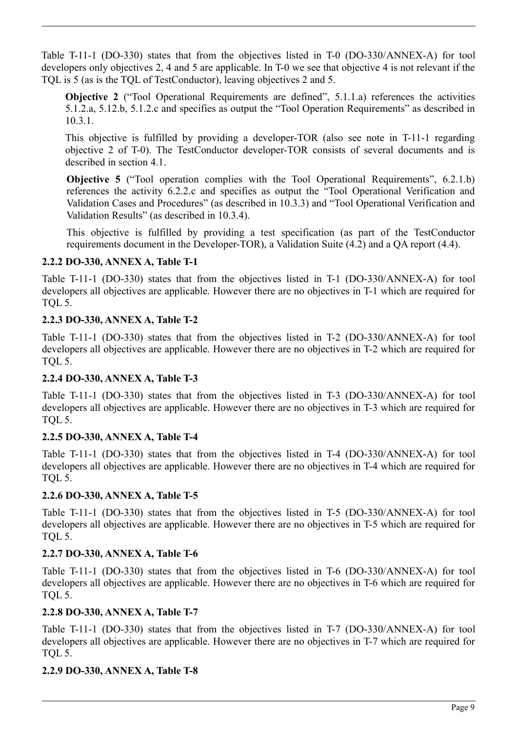Table T-11-1 (DO-330) states that from the objectives listed in T-0 (DO-330/ANNEX-A) for tool developers only objectives 2, 4 and 5 are applicable. In T-0 we see that objective 4 is not relevant if the TQL is 5 (as is the TQL of TestConductor), leaving objectives 2 and 5.

**Objective 2** <sup>("</sup>Tool Operational Requirements are defined", 5.1.1.a) references the activities 5.1.2.a, 5.12.b, 5.1.2.c and specifies as output the "Tool Operation Requirements" as described in 10.3.1.

This objective is fulfilled by providing a developer-TOR (also see note in T-11-1 regarding objective 2 of T-0). The TestConductor developer-TOR consists of several documents and is described in section [4.1.](#page-10-2)

**Objective 5** ("Tool operation complies with the Tool Operational Requirements", 6.2.1.b) references the activity 6.2.2.c and specifies as output the "Tool Operational Verification and Validation Cases and Procedures" (as described in 10.3.3) and "Tool Operational Verification and Validation Results" (as described in 10.3.4).

This objective is fulfilled by providing a test specification (as part of the TestConductor requirements document in the Developer-TOR), a Validation Suite [\(4.2\)](#page-10-1) and a QA report [\(4.4\)](#page-11-0).

### **2.2.2 DO-330, ANNEX A, Table T-1**

Table T-11-1 (DO-330) states that from the objectives listed in T-1 (DO-330/ANNEX-A) for tool developers all objectives are applicable. However there are no objectives in T-1 which are required for TQL 5.

### **2.2.3 DO-330, ANNEX A, Table T-2**

Table T-11-1 (DO-330) states that from the objectives listed in T-2 (DO-330/ANNEX-A) for tool developers all objectives are applicable. However there are no objectives in T-2 which are required for TQL 5.

### **2.2.4 DO-330, ANNEX A, Table T-3**

Table T-11-1 (DO-330) states that from the objectives listed in T-3 (DO-330/ANNEX-A) for tool developers all objectives are applicable. However there are no objectives in T-3 which are required for TQL 5.

### **2.2.5 DO-330, ANNEX A, Table T-4**

Table T-11-1 (DO-330) states that from the objectives listed in T-4 (DO-330/ANNEX-A) for tool developers all objectives are applicable. However there are no objectives in T-4 which are required for TQL 5.

### **2.2.6 DO-330, ANNEX A, Table T-5**

Table T-11-1 (DO-330) states that from the objectives listed in T-5 (DO-330/ANNEX-A) for tool developers all objectives are applicable. However there are no objectives in T-5 which are required for TQL 5.

### **2.2.7 DO-330, ANNEX A, Table T-6**

Table T-11-1 (DO-330) states that from the objectives listed in T-6 (DO-330/ANNEX-A) for tool developers all objectives are applicable. However there are no objectives in T-6 which are required for TQL 5.

### **2.2.8 DO-330, ANNEX A, Table T-7**

Table T-11-1 (DO-330) states that from the objectives listed in T-7 (DO-330/ANNEX-A) for tool developers all objectives are applicable. However there are no objectives in T-7 which are required for TQL 5.

### **2.2.9 DO-330, ANNEX A, Table T-8**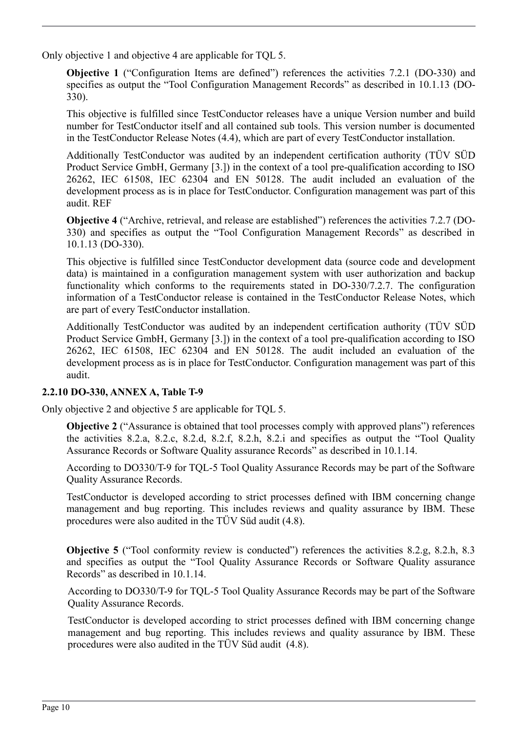Only objective 1 and objective 4 are applicable for TQL 5.

**Objective 1** ("Configuration Items are defined") references the activities 7.2.1 (DO-330) and specifies as output the "Tool Configuration Management Records" as described in 10.1.13 (DO-330).

This objective is fulfilled since TestConductor releases have a unique Version number and build number for TestConductor itself and all contained sub tools. This version number is documented in the TestConductor Release Notes [\(4.4\)](#page-11-0), which are part of every TestConductor installation.

Additionally TestConductor was audited by an independent certification authority (TÜV SÜD Product Service GmbH, Germany [\[3.\]](#page-14-6)) in the context of a tool pre-qualification according to ISO 26262, IEC 61508, IEC 62304 and EN 50128. The audit included an evaluation of the development process as is in place for TestConductor. Configuration management was part of this audit. REF

**Objective 4** ("Archive, retrieval, and release are established") references the activities 7.2.7 (DO-330) and specifies as output the "Tool Configuration Management Records" as described in 10.1.13 (DO-330).

This objective is fulfilled since TestConductor development data (source code and development data) is maintained in a configuration management system with user authorization and backup functionality which conforms to the requirements stated in DO-330/7.2.7. The configuration information of a TestConductor release is contained in the TestConductor Release Notes, which are part of every TestConductor installation.

Additionally TestConductor was audited by an independent certification authority (TÜV SÜD Product Service GmbH, Germany [\[3.\]](#page-14-6)) in the context of a tool pre-qualification according to ISO 26262, IEC 61508, IEC 62304 and EN 50128. The audit included an evaluation of the development process as is in place for TestConductor. Configuration management was part of this audit.

### **2.2.10 DO-330, ANNEX A, Table T-9**

Only objective 2 and objective 5 are applicable for TQL 5.

**Objective 2** ("Assurance is obtained that tool processes comply with approved plans") references the activities 8.2.a, 8.2.c, 8.2.d, 8.2.f, 8.2.h, 8.2.i and specifies as output the "Tool Quality Assurance Records or Software Quality assurance Records" as described in 10.1.14.

According to DO330/T-9 for TQL-5 Tool Quality Assurance Records may be part of the Software Quality Assurance Records.

TestConductor is developed according to strict processes defined with IBM concerning change management and bug reporting. This includes reviews and quality assurance by IBM. These procedures were also audited in the TÜV Süd audit [\(4.8\)](#page-11-1).

**Objective 5** ("Tool conformity review is conducted") references the activities 8.2.g, 8.2.h, 8.3 and specifies as output the "Tool Quality Assurance Records or Software Quality assurance Records" as described in 10.1.14.

According to DO330/T-9 for TQL-5 Tool Quality Assurance Records may be part of the Software Quality Assurance Records.

TestConductor is developed according to strict processes defined with IBM concerning change management and bug reporting. This includes reviews and quality assurance by IBM. These procedures were also audited in the TÜV Süd audit [\(4.8\)](#page-11-1).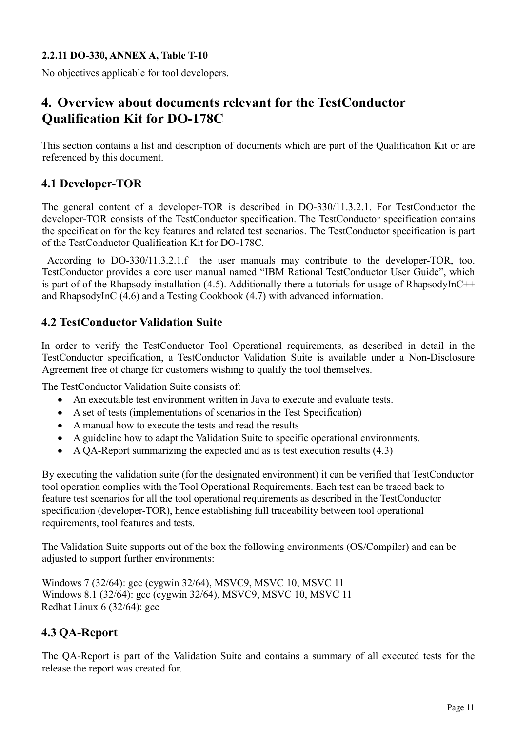### **2.2.11 DO-330, ANNEX A, Table T-10**

No objectives applicable for tool developers.

# <span id="page-10-0"></span>**4. Overview about documents relevant for the TestConductor Qualification Kit for DO-178C**

This section contains a list and description of documents which are part of the Qualification Kit or are referenced by this document.

### <span id="page-10-2"></span>**4.1 Developer-TOR**

The general content of a developer-TOR is described in DO-330/11.3.2.1. For TestConductor the developer-TOR consists of the TestConductor specification. The TestConductor specification contains the specification for the key features and related test scenarios. The TestConductor specification is part of the TestConductor Qualification Kit for DO-178C.

 According to DO-330/11.3.2.1.f the user manuals may contribute to the developer-TOR, too. TestConductor provides a core user manual named "IBM Rational TestConductor User Guide", which is part of of the Rhapsody installation [\(4.5\)](#page-11-4). Additionally there a tutorials for usage of RhapsodyInC++ and RhapsodyInC [\(4.6\)](#page-11-3) and a Testing Cookbook [\(4.7\)](#page-11-2) with advanced information.

### <span id="page-10-1"></span>**4.2 TestConductor Validation Suite**

In order to verify the TestConductor Tool Operational requirements, as described in detail in the TestConductor specification, a TestConductor Validation Suite is available under a Non-Disclosure Agreement free of charge for customers wishing to qualify the tool themselves.

The TestConductor Validation Suite consists of:

- An executable test environment written in Java to execute and evaluate tests.
- A set of tests (implementations of scenarios in the Test Specification)
- A manual how to execute the tests and read the results
- A guideline how to adapt the Validation Suite to specific operational environments.
- A QA-Report summarizing the expected and as is test execution results [\(4.3\)](#page-10-3)

By executing the validation suite (for the designated environment) it can be verified that TestConductor tool operation complies with the Tool Operational Requirements. Each test can be traced back to feature test scenarios for all the tool operational requirements as described in the TestConductor specification (developer-TOR), hence establishing full traceability between tool operational requirements, tool features and tests.

The Validation Suite supports out of the box the following environments (OS/Compiler) and can be adjusted to support further environments:

Windows 7 (32/64): gcc (cygwin 32/64), MSVC9, MSVC 10, MSVC 11 Windows 8.1 (32/64): gcc (cygwin 32/64), MSVC9, MSVC 10, MSVC 11 Redhat Linux 6 (32/64): gcc

# <span id="page-10-3"></span>**4.3 QA-Report**

The QA-Report is part of the Validation Suite and contains a summary of all executed tests for the release the report was created for.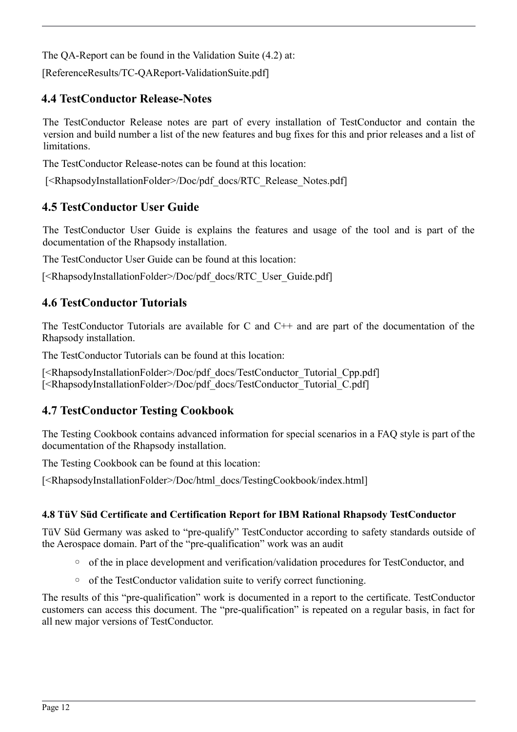The QA-Report can be found in the Validation Suite [\(4.2\)](#page-10-1) at:

[ReferenceResults/TC-QAReport-ValidationSuite.pdf]

# <span id="page-11-0"></span>**4.4 TestConductor Release-Notes**

The TestConductor Release notes are part of every installation of TestConductor and contain the version and build number a list of the new features and bug fixes for this and prior releases and a list of limitations.

The TestConductor Release-notes can be found at this location:

[<RhapsodyInstallationFolder>/Doc/pdf\_docs/RTC\_Release\_Notes.pdf]

# <span id="page-11-4"></span>**4.5 TestConductor User Guide**

The TestConductor User Guide is explains the features and usage of the tool and is part of the documentation of the Rhapsody installation.

The TestConductor User Guide can be found at this location:

[<RhapsodyInstallationFolder>/Doc/pdf\_docs/RTC\_User\_Guide.pdf]

# <span id="page-11-3"></span>**4.6 TestConductor Tutorials**

The TestConductor Tutorials are available for C and C++ and are part of the documentation of the Rhapsody installation.

The TestConductor Tutorials can be found at this location:

[<RhapsodyInstallationFolder>/Doc/pdf\_docs/TestConductor\_Tutorial\_Cpp.pdf] [<RhapsodyInstallationFolder>/Doc/pdf\_docs/TestConductor\_Tutorial\_C.pdf]

# <span id="page-11-2"></span>**4.7 TestConductor Testing Cookbook**

The Testing Cookbook contains advanced information for special scenarios in a FAQ style is part of the documentation of the Rhapsody installation.

The Testing Cookbook can be found at this location:

[<RhapsodyInstallationFolder>/Doc/html\_docs/TestingCookbook/index.html]

### <span id="page-11-1"></span>**4.8 TüV Süd Certificate and Certification Report for IBM Rational Rhapsody TestConductor**

TüV Süd Germany was asked to "pre-qualify" TestConductor according to safety standards outside of the Aerospace domain. Part of the "pre-qualification" work was an audit

- of the in place development and verification/validation procedures for TestConductor, and
- of the TestConductor validation suite to verify correct functioning.

The results of this "pre-qualification" work is documented in a report to the certificate. TestConductor customers can access this document. The "pre-qualification" is repeated on a regular basis, in fact for all new major versions of TestConductor.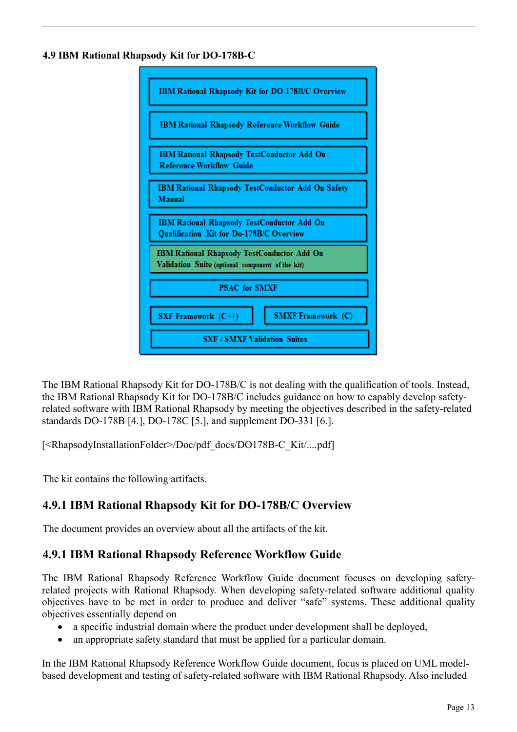#### **4.9 IBM Rational Rhapsody Kit for DO-178B-C**



The IBM Rational Rhapsody Kit for DO-178B/C is not dealing with the qualification of tools. Instead, the IBM Rational Rhapsody Kit for DO-178B/C includes guidance on how to capably develop safetyrelated software with IBM Rational Rhapsody by meeting the objectives described in the safety-related standards DO-178B [\[4.\]](#page-14-1), DO-178C [\[5.\]](#page-14-3), and supplement DO-331 [\[6.\]](#page-14-7).

[<RhapsodyInstallationFolder>/Doc/pdf\_docs/DO178B-C\_Kit/....pdf]

The kit contains the following artifacts.

# **4.9.1 IBM Rational Rhapsody Kit for DO-178B/C Overview**

The document provides an overview about all the artifacts of the kit.

# **4.9.1 IBM Rational Rhapsody Reference Workflow Guide**

The IBM Rational Rhapsody Reference Workflow Guide document focuses on developing safetyrelated projects with Rational Rhapsody. When developing safety-related software additional quality objectives have to be met in order to produce and deliver "safe" systems. These additional quality objectives essentially depend on

- a specific industrial domain where the product under development shall be deployed,
- an appropriate safety standard that must be applied for a particular domain.

In the IBM Rational Rhapsody Reference Workflow Guide document, focus is placed on UML modelbased development and testing of safety-related software with IBM Rational Rhapsody. Also included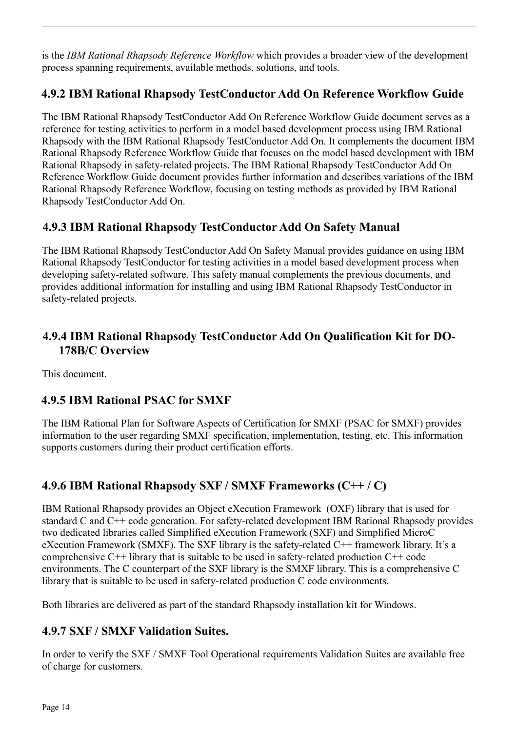is the *IBM Rational Rhapsody Reference Workflow* which provides a broader view of the development process spanning requirements, available methods, solutions, and tools*.*

# **4.9.2 IBM Rational Rhapsody TestConductor Add On Reference Workflow Guide**

The IBM Rational Rhapsody TestConductor Add On Reference Workflow Guide document serves as a reference for testing activities to perform in a model based development process using IBM Rational Rhapsody with the IBM Rational Rhapsody TestConductor Add On. It complements the document IBM Rational Rhapsody Reference Workflow Guide that focuses on the model based development with IBM Rational Rhapsody in safety-related projects. The IBM Rational Rhapsody TestConductor Add On Reference Workflow Guide document provides further information and describes variations of the IBM Rational Rhapsody Reference Workflow, focusing on testing methods as provided by IBM Rational Rhapsody TestConductor Add On.

# **4.9.3 IBM Rational Rhapsody TestConductor Add On Safety Manual**

The IBM Rational Rhapsody TestConductor Add On Safety Manual provides guidance on using IBM Rational Rhapsody TestConductor for testing activities in a model based development process when developing safety-related software. This safety manual complements the previous documents, and provides additional information for installing and using IBM Rational Rhapsody TestConductor in safety-related projects.

## **4.9.4 IBM Rational Rhapsody TestConductor Add On Qualification Kit for DO-178B/C Overview**

This document.

# **4.9.5 IBM Rational PSAC for SMXF**

The IBM Rational Plan for Software Aspects of Certification for SMXF (PSAC for SMXF) provides information to the user regarding SMXF specification, implementation, testing, etc. This information supports customers during their product certification efforts.

# **4.9.6 IBM Rational Rhapsody SXF / SMXF Frameworks (C++ / C)**

IBM Rational Rhapsody provides an Object eXecution Framework (OXF) library that is used for standard C and C++ code generation. For safety-related development IBM Rational Rhapsody provides two dedicated libraries called Simplified eXecution Framework (SXF) and Simplified MicroC eXecution Framework (SMXF). The SXF library is the safety-related C++ framework library. It's a comprehensive  $C^{++}$  library that is suitable to be used in safety-related production  $C^{++}$  code environments. The C counterpart of the SXF library is the SMXF library. This is a comprehensive C library that is suitable to be used in safety-related production C code environments.

Both libraries are delivered as part of the standard Rhapsody installation kit for Windows.

# **4.9.7 SXF / SMXF Validation Suites.**

In order to verify the SXF / SMXF Tool Operational requirements Validation Suites are available free of charge for customers.